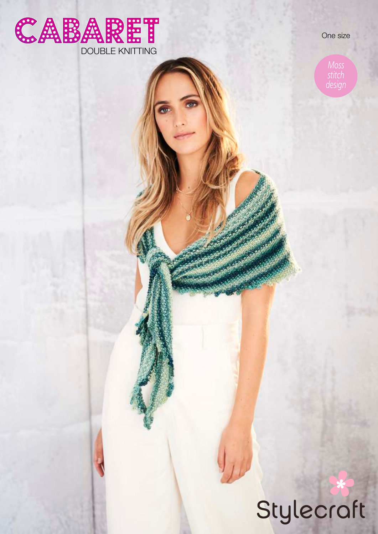

One size

*Moss stitch design*

# Stylecraft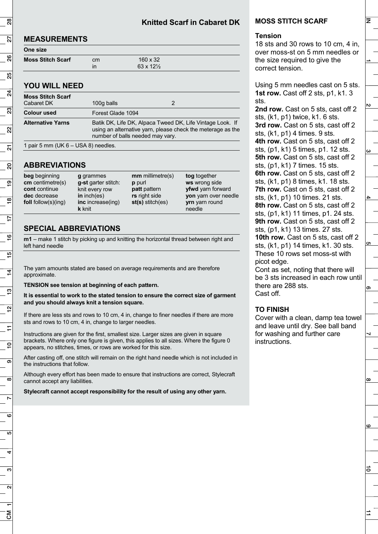# **MEASUREMENTS**

| One size                 |    |                           |  |
|--------------------------|----|---------------------------|--|
| <b>Moss Stitch Scarf</b> | cm | $160 \times 32$           |  |
|                          | in | $63 \times 12\frac{1}{2}$ |  |

# **YOU WILL NEED**

| <b>Moss Stitch Scarf</b>              |                                                                                                                                                              |   |  |
|---------------------------------------|--------------------------------------------------------------------------------------------------------------------------------------------------------------|---|--|
| Cabaret DK                            | 100g balls                                                                                                                                                   | 2 |  |
| <b>Colour used</b>                    | Forest Glade 1094                                                                                                                                            |   |  |
| <b>Alternative Yarns</b>              | Batik DK, Life DK, Alpaca Tweed DK, Life Vintage Look. If<br>using an alternative yarn, please check the meterage as the<br>number of balls needed may vary. |   |  |
| 1 pair 5 mm (UK $6 -$ USA 8) needles. |                                                                                                                                                              |   |  |

# **ABBREVIATIONS**

| beg beginning<br>$cm$ centimetre(s)<br>cont continue<br>dec decrease<br>foll follow(s) $($ ing) | <b>g</b> grammes<br>g-st garter stitch:<br>knit every row<br>in $inch(es)$<br>inc increase(ing)<br><b>k</b> knit | $mm$ millimetre(s)<br>p purl<br><b>patt</b> pattern<br>rs right side<br>$st(s)$ stitch(es) | tog together<br>ws wrong side<br>yfwd yarn forward<br>yon yarn over needle<br><b>yrn</b> yarn round<br>needle |
|-------------------------------------------------------------------------------------------------|------------------------------------------------------------------------------------------------------------------|--------------------------------------------------------------------------------------------|---------------------------------------------------------------------------------------------------------------|
|                                                                                                 |                                                                                                                  |                                                                                            |                                                                                                               |

# **SPECIAL ABBREVIATIONS**

**m1** – make 1 stitch by picking up and knitting the horizontal thread between right and left hand needle

The yarn amounts stated are based on average requirements and are therefore approximate.

**TENSION see tension at beginning of each pattern.**

**It is essential to work to the stated tension to ensure the correct size of garment and you should always knit a tension square.** 

If there are less sts and rows to 10 cm, 4 in, change to finer needles if there are more sts and rows to 10 cm, 4 in, change to larger needles.

Instructions are given for the first, smallest size. Larger sizes are given in square brackets. Where only one figure is given, this applies to all sizes. Where the figure 0 appears, no stitches, times, or rows are worked for this size.

After casting off, one stitch will remain on the right hand needle which is not included in the instructions that follow.

Although every effort has been made to ensure that instructions are correct, Stylecraft cannot accept any liabilities.

**Stylecraft cannot accept responsibility for the result of using any other yarn.** 

### **MOSS STITCH SCARF**

#### **Tension**

18 sts and 30 rows to 10 cm, 4 in, over moss-st on 5 mm needles or the size required to give the correct tension.

Using 5 mm needles cast on 5 sts. **1st row.** Cast off 2 sts, p1, k1. 3 sts.

**2nd row.** Cast on 5 sts, cast off 2 sts, (k1, p1) twice, k1. 6 sts. **3rd row.** Cast on 5 sts, cast off 2

sts, (k1, p1) 4 times. 9 sts. **4th row.** Cast on 5 sts, cast off 2 sts, (p1, k1) 5 times, p1. 12 sts.

**5th row.** Cast on 5 sts, cast off 2

sts, (p1, k1) 7 times. 15 sts. **6th row.** Cast on 5 sts, cast off 2

sts, (k1, p1) 8 times, k1. 18 sts.

**7th row.** Cast on 5 sts, cast off 2

sts, (k1, p1) 10 times. 21 sts.

**8th row.** Cast on 5 sts, cast off 2 sts, (p1, k1) 11 times, p1. 24 sts. **9th row.** Cast on 5 sts, cast off 2 sts, (p1, k1) 13 times. 27 sts. **10th row.** Cast on 5 sts, cast off 2

sts, (k1, p1) 14 times, k1. 30 sts. These 10 rows set moss-st with picot edge.

Cont as set, noting that there will be 3 sts increased in each row until there are 288 sts. Cast off.

|တ

 $\infty$ 

 $\omega$ 

る

 $\vec{=}$ 

**ຕາ** 

lz.

N

## **TO FINISH**

Cover with a clean, damp tea towel and leave until dry. See ball band for washing and further care instructions.